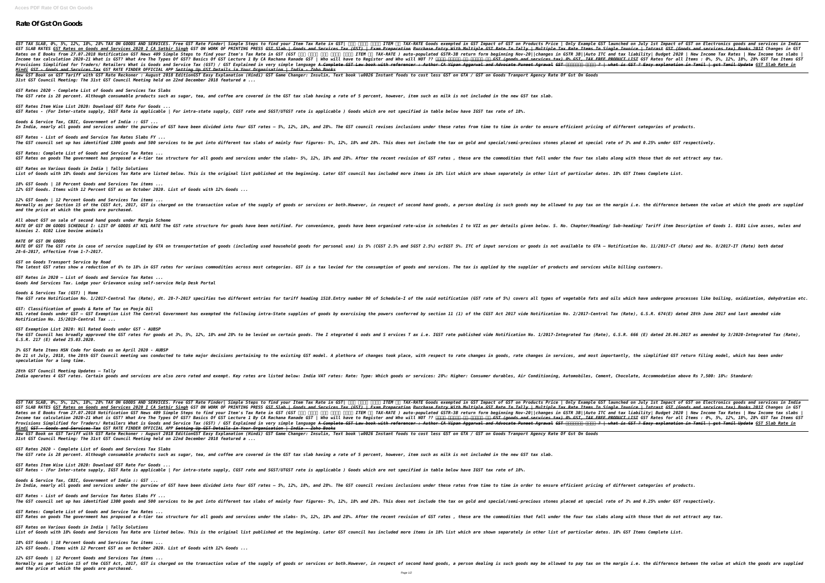## **Rate Of Gst On Goods**

*GST TAX SLAB, 0%, 5%, 12%, 18%, 28% TAX ON GOODS AND SERVICES. Free GST Rate Finder| Simple Steps to find your Item Tax Rate in GST| पता करें अपने ITEM का TAX-RATE Goods exempted in GST Impact of GST on Products Price | Only Example GST launched on July 1st Impact of GST on Electronics goods and services in India* GST SLAB RATES GST Rates on Goods and Services 2020 I CA Satbir Singh GST ON WORK OF PRINTING PRESS <del>GST Slab | Goods and Services Tax (GST) | Exam Preparation Purchase Entry With Multiple Tax Rate Items In Single Invoice </del> Rates on E Books from 27.07.2018 Notification GST News 409 Simple Steps to find your Item's Tax Rate in GST (GST QQQ | New Income Tax Rates | New Income tax slabs | New Income tax slabs | New Income tax slabs | New Income Income tax calculation 2020-21 What is GST? What Are The Types Of GST? Basics Of GST Lecture 1 By CA Rachana Ranade GST | Who will have to Register and Who will NOT ?? <del>HHT HHTH HT GST (goods and services tax) 0% GST, TAX </del> Provisions Simplified for Traders/ Retailers What is Goods and Service Tax (GST) / GST Explained in very simple language A Complete GST Hew book with referencer : Author CA Vipan Aggarwal and Advocate Puneet Agrawal GST Pe *Hindi GST - Goods and Services Tax GST RATE FINDER OFFICIAL APP Setting Up GST Details in Your Organisation | India - Zoho Books* New GST Book on GST Tariff with GST Rate Reckoner : August 2018 EditionGST Easy Explanation (Hindi) GST Game Changer: Insulin, Text book \u0026 Instant foods to cost less GST on GTA / GST on Goods Tranport Agency Rate Of G *31st GST Council Meeting: The 31st GST Council Meeting held on 22nd December 2018 featured a ... GST Rates 2020 - Complete List of Goods and Services Tax Slabs The GST rate is 28 percent. Although consumable products such as sugar, tea, and coffee are covered in the GST tax slab having a rate of 5 percent, however, item such as milk is not included in the new GST tax slab. GST Rates Item Wise List 2020: Download GST Rate For Goods ... GST Rates - (For Inter-state supply, IGST Rate is applicable | For intra-state supply, CGST rate and SGST/UTGST rate is applicable ) Goods which are not specified in table below have IGST tax rate of 18%. Goods & Service Tax, CBIC, Government of India :: GST ...* In India, nearly all goods and services under the purview of GST have been divided into four GST rates – 5%, 12%, 18%, and 28%. The GST council revises inclusions under these rates from time to time in order to ensure effi *GST Rates - List of Goods and Service Tax Rates Slabs FY ...* The GST council set up has identified 1300 goods and 500 services to be put into different tax slabs of mainly four figures- 5%, 12%, 18% and 28%. This does not include the tax on gold and special/semi-precious stones plac *GST Rates: Complete List of Goods and Service Tax Rates ...* GST Rates on goods The government has proposed a 4-tier tax structure for all goods and services under the slabs- 5%, 12%, 18% and 28%. After the recent revision of GST rates , these are the commodities that fall under the *GST Rates on Various Goods in India | Tally Solutions* List of Goods with 18% Goods and Services Tax Rate are listed below. This is the original list published at the beginning. Later GST council has included more items in 18% list which are shown separately in other list of p *18% GST Goods | 18 Percent Goods and Services Tax items ... 12% GST Goods. Items with 12 Percent GST as on October 2020. List of Goods with 12% Goods ... 12% GST Goods | 12 Percent Goods and Services Tax items ...* Normally as per Section 15 of the CGST Act, 2017, GST is charged on the transaction value of the supply of goods or services or both.However, in respect of second hand goods, a person dealing is such goods may be allowed t *and the price at which the goods are purchased. All about GST on sale of second hand goods under Margin Scheme* RATE OF GST ON GOODS SCHEDULE I: LIST OF GOODS AT NIL RATE The GST rate structure for goods have been notified. For convenience, goods have been organised rate-wise in schedules I to VII as per details given below. S. No. *hinnies 2. 0102 Live bovine animals RATE OF GST ON GOODS* RATE OF GST The GST rate in case of service supplied by GTA on transportation of goods (including used household goods for personal use) is 5% (CGST 2.5% and SGST 2.5%) orIGST 5%. ITC of input services or goods is not avai *28-6-2017, effective from 1-7-2017. GST on Goods Transport Service by Road* The latest GST rates show a reduction of 6% to 18% in GST rates for various commodities across most categories. GST is a tax levied for the consumption of goods and services. The tax is applied by the supplier of products *GST Rates in 2020 – List of Goods and Service Tax Rates ... Goods And Services Tax. Lodge your Grievance using self-service Help Desk Portal Goods & Services Tax (GST) | Home* The GST rate Notification No. 1/2017-Central Tax (Rate), dt. 28-7-2017 specifies two different entries for tariff heading 1518.Entry number 90 of Schedule-I of the said notification (GST rate of 5%) covers all types of veg *GST: Classification of goods & Rate of Tax on Pooja Oil* NIL rated Goods under GST – GST Exemption List The Central Government has exempted the following intra-State supplies of goods by exercising the powers conferred by section 11 (1) of the CGST Act 2017-Lentral Tax (Rate), G *Notification No. 15/2019-Central Tax ... GST Exemption List 2020: Nil Rated Goods under GST - AUBSP* The GST Council has broadly approved the GST rates for goods at 3%, 5%, 12%, 18% and 28% to be levied on certain goods. The I ntegrated G oods and S ervices T ax i.e. IGST rate published Vide Notification No. 1/2017-Integr *G.S.R. 217 (E) dated 25.03.2020. 3% GST Rate Items HSN Code for Goods as on April 2020 - AUBSP* On 21 st July, 2018, the 28th GST Council meeting was conducted to take major decisions pertaining to the existing GST model. A plethora of changes in services, and most importantly, the simplified GST return filing model, *speculation for a long time. 28th GST Council Meeting Updates – Tally* India operates 4 GST rates. Certain goods and services are also zero rated and exempt. Key rates are listed below: India VAT rates: Rate: Type: Which goods or services: 28%: Higher: Consumer durables, Air Conditioning, Aut GST TAX SLAB, 0%, 5%, 12%, 18%, 28% TAX ON GOODS AND SERVICES. Free GST Rate Finder| Simple Steps to find your Item Tax Rate in GST | ∏∏ ∏∏∏ ITEM ∏∏ ITEM ∏∏ ITEM ∏∏ ITEM ∏∏ ITEM ∏∏ ITEM ∏∏ ITEM ∏∏ ITEM ∏∏ ITEM ∏∏ ITEM ∏∏ CORR SLAB RATES IN Rates on Goods and Services 2020 I CA Satbir Singh GST ON WORK OF PRINTING PRESS Ast Slab | Goods and Services Tax (GST) | Exam Preparation Purchase Entry With Multiple Tax Rate Items In Single Invoice | *Rates on E Books from 27.07.2018 Notification GST News 409 Simple Steps to find your Item's Tax Rate in GST (GST में कैसे पता करें अपने ITEM का TAX-RATE ) auto-populated GSTR-3B return form beginning Nov-20||changes in GSTR 3B||Auto ITC and tax liability| Budget 2020 | New Income Tax Rates | New Income tax slabs |* Income tax calculation 2020-21 What is GST? What Are The Types Of GST? Basics Of GST Lecture 1 By CA Rachana Ranade GST | Who will have to Register and Who will NOT ?? <del>HHH HHHHH HH GST (goods and services tax) 0% GST, TAX</del> Provisions Simplified for Traders/ Retailers What is Goods and Service Tax (GST) / GST Explained in very simple language A Complete GST Law book with referencer : Author CA Vipan Aggarwal and Advocate Puneet Agrawal GST (P *Hindi GST - Goods and Services Tax GST RATE FINDER OFFICIAL APP Setting Up GST Details in Your Organisation | India - Zoho Books* New GST Book on GST Tariff with GST Rate Reckoner : August 2018 EditionGST Easy Explanation (Hindi) GST Game Changer: Insulin, Text book \u0026 Instant foods to cost less GST on GTA / GST on Goods Tranport Agency Rate Of G *31st GST Council Meeting: The 31st GST Council Meeting held on 22nd December 2018 featured a ... GST Rates 2020 - Complete List of Goods and Services Tax Slabs The GST rate is 28 percent. Although consumable products such as sugar, tea, and coffee are covered in the GST tax slab having a rate of 5 percent, however, item such as milk is not included in the new GST tax slab. GST Rates Item Wise List 2020: Download GST Rate For Goods ... GST Rates - (For Inter-state supply, IGST Rate is applicable | For intra-state supply, CGST rate and SGST/UTGST rate is applicable ) Goods which are not specified in table below have IGST tax rate of 18%. Goods & Service Tax, CBIC, Government of India :: GST ...* In India, nearly all goods and services under the purview of GST have been divided into four GST rates – 5%, 12%, 18%, and 28%. The GST council revises inclusions under these rates from time to time in order to ensure effi *GST Rates - List of Goods and Service Tax Rates Slabs FY ...* The GST council set up has identified 1300 goods and 500 services to be put into different tax slabs of mainly four figures- 5%, 12%, 18% and 28%. This does not include the tax on gold and special/semi-precious stones plac *GST Rates: Complete List of Goods and Service Tax Rates ...* GST Rates on goods The government has proposed a 4-tier tax structure for all goods and services under the slabs- 5%, 12%, 18% and 28%. After the recent revision of GST rates , these are the commodities that fall under the *GST Rates on Various Goods in India | Tally Solutions* List of Goods with 18% Goods and Services Tax Rate are listed below. This is the original list published at the beginning. Later GST council has included more items in 18% list which are shown separately in other list of p *18% GST Goods | 18 Percent Goods and Services Tax items ...*

*12% GST Goods. Items with 12 Percent GST as on October 2020. List of Goods with 12% Goods ...*

*12% GST Goods | 12 Percent Goods and Services Tax items ...* Normally as per Section 15 of the CGST Act, 2017, GST is charged on the transaction value of the supply of goods or services or both.However, in respect of second hand goods, a person dealing is such goods may be allowed t *and the price at which the goods are purchased.*